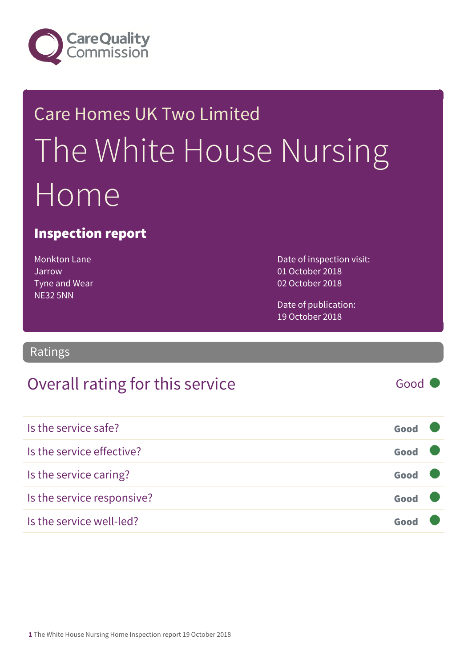

## Care Homes UK Two Limited The White House Nursing Home

#### Inspection report

| <b>Monkton Lane</b>  |
|----------------------|
| Jarrow               |
| <b>Tyne and Wear</b> |
| <b>NE32 5NN</b>      |

Date of inspection visit: 01 October 2018 02 October 2018

Date of publication: 19 October 2018

Ratings

#### Overall rating for this service and all the Good

Is the service safe? Good Is the service effective? Contact the service effective? Is the service caring? Good Is the service responsive? Good Is the service well-led? Good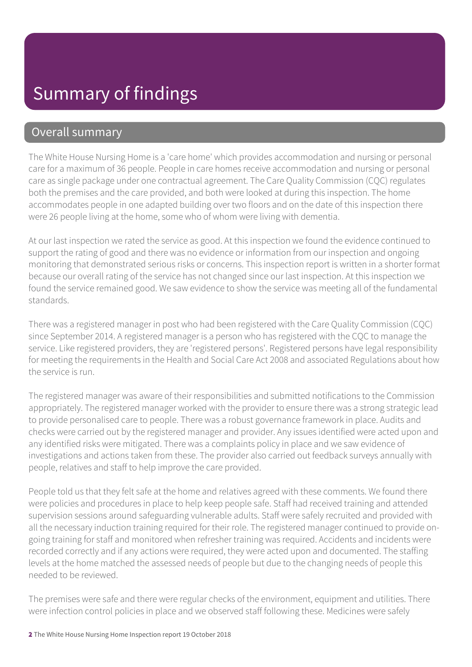#### Overall summary

The White House Nursing Home is a 'care home' which provides accommodation and nursing or personal care for a maximum of 36 people. People in care homes receive accommodation and nursing or personal care as single package under one contractual agreement. The Care Quality Commission (CQC) regulates both the premises and the care provided, and both were looked at during this inspection. The home accommodates people in one adapted building over two floors and on the date of this inspection there were 26 people living at the home, some who of whom were living with dementia.

At our last inspection we rated the service as good. At this inspection we found the evidence continued to support the rating of good and there was no evidence or information from our inspection and ongoing monitoring that demonstrated serious risks or concerns. This inspection report is written in a shorter format because our overall rating of the service has not changed since our last inspection. At this inspection we found the service remained good. We saw evidence to show the service was meeting all of the fundamental standards.

There was a registered manager in post who had been registered with the Care Quality Commission (CQC) since September 2014. A registered manager is a person who has registered with the CQC to manage the service. Like registered providers, they are 'registered persons'. Registered persons have legal responsibility for meeting the requirements in the Health and Social Care Act 2008 and associated Regulations about how the service is run.

The registered manager was aware of their responsibilities and submitted notifications to the Commission appropriately. The registered manager worked with the provider to ensure there was a strong strategic lead to provide personalised care to people. There was a robust governance framework in place. Audits and checks were carried out by the registered manager and provider. Any issues identified were acted upon and any identified risks were mitigated. There was a complaints policy in place and we saw evidence of investigations and actions taken from these. The provider also carried out feedback surveys annually with people, relatives and staff to help improve the care provided.

People told us that they felt safe at the home and relatives agreed with these comments. We found there were policies and procedures in place to help keep people safe. Staff had received training and attended supervision sessions around safeguarding vulnerable adults. Staff were safely recruited and provided with all the necessary induction training required for their role. The registered manager continued to provide ongoing training for staff and monitored when refresher training was required. Accidents and incidents were recorded correctly and if any actions were required, they were acted upon and documented. The staffing levels at the home matched the assessed needs of people but due to the changing needs of people this needed to be reviewed.

The premises were safe and there were regular checks of the environment, equipment and utilities. There were infection control policies in place and we observed staff following these. Medicines were safely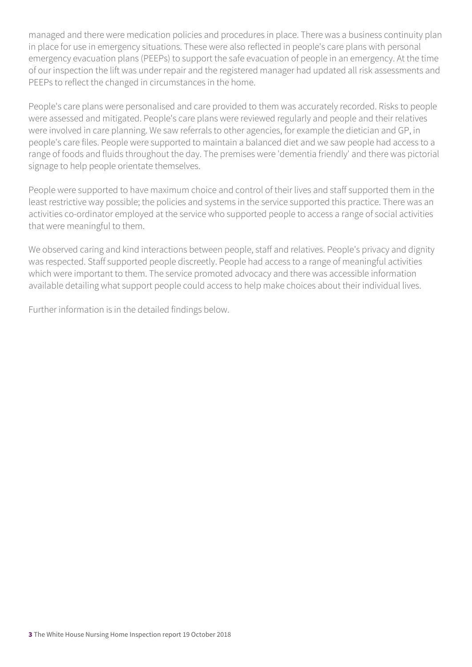managed and there were medication policies and procedures in place. There was a business continuity plan in place for use in emergency situations. These were also reflected in people's care plans with personal emergency evacuation plans (PEEPs) to support the safe evacuation of people in an emergency. At the time of our inspection the lift was under repair and the registered manager had updated all risk assessments and PEEPs to reflect the changed in circumstances in the home.

People's care plans were personalised and care provided to them was accurately recorded. Risks to people were assessed and mitigated. People's care plans were reviewed regularly and people and their relatives were involved in care planning. We saw referrals to other agencies, for example the dietician and GP, in people's care files. People were supported to maintain a balanced diet and we saw people had access to a range of foods and fluids throughout the day. The premises were 'dementia friendly' and there was pictorial signage to help people orientate themselves.

People were supported to have maximum choice and control of their lives and staff supported them in the least restrictive way possible; the policies and systems in the service supported this practice. There was an activities co-ordinator employed at the service who supported people to access a range of social activities that were meaningful to them.

We observed caring and kind interactions between people, staff and relatives. People's privacy and dignity was respected. Staff supported people discreetly. People had access to a range of meaningful activities which were important to them. The service promoted advocacy and there was accessible information available detailing what support people could access to help make choices about their individual lives.

Further information is in the detailed findings below.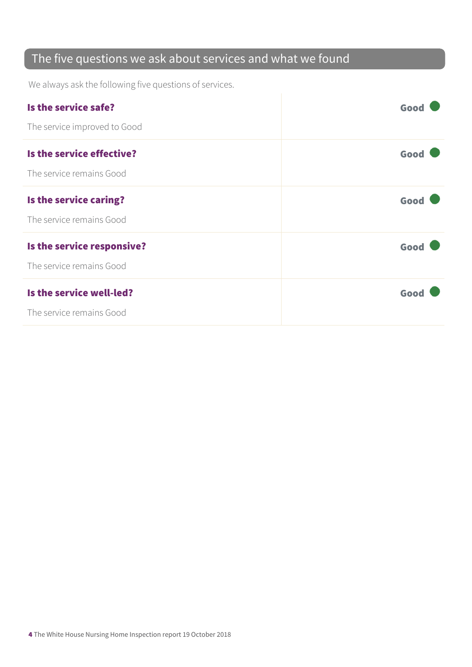#### The five questions we ask about services and what we found

We always ask the following five questions of services.

| Is the service safe?         | Good |
|------------------------------|------|
| The service improved to Good |      |
| Is the service effective?    | Good |
| The service remains Good     |      |
| Is the service caring?       | Good |
| The service remains Good     |      |
| Is the service responsive?   | Good |
| The service remains Good     |      |
| Is the service well-led?     | Good |
| The service remains Good     |      |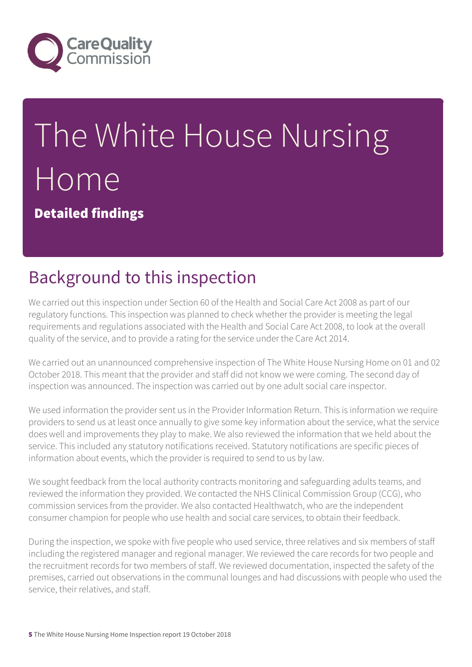

# The White House Nursing Home

Detailed findings

## Background to this inspection

We carried out this inspection under Section 60 of the Health and Social Care Act 2008 as part of our regulatory functions. This inspection was planned to check whether the provider is meeting the legal requirements and regulations associated with the Health and Social Care Act 2008, to look at the overall quality of the service, and to provide a rating for the service under the Care Act 2014.

We carried out an unannounced comprehensive inspection of The White House Nursing Home on 01 and 02 October 2018. This meant that the provider and staff did not know we were coming. The second day of inspection was announced. The inspection was carried out by one adult social care inspector.

We used information the provider sent us in the Provider Information Return. This is information we require providers to send us at least once annually to give some key information about the service, what the service does well and improvements they play to make. We also reviewed the information that we held about the service. This included any statutory notifications received. Statutory notifications are specific pieces of information about events, which the provider is required to send to us by law.

We sought feedback from the local authority contracts monitoring and safeguarding adults teams, and reviewed the information they provided. We contacted the NHS Clinical Commission Group (CCG), who commission services from the provider. We also contacted Healthwatch, who are the independent consumer champion for people who use health and social care services, to obtain their feedback.

During the inspection, we spoke with five people who used service, three relatives and six members of staff including the registered manager and regional manager. We reviewed the care records for two people and the recruitment records for two members of staff. We reviewed documentation, inspected the safety of the premises, carried out observations in the communal lounges and had discussions with people who used the service, their relatives, and staff.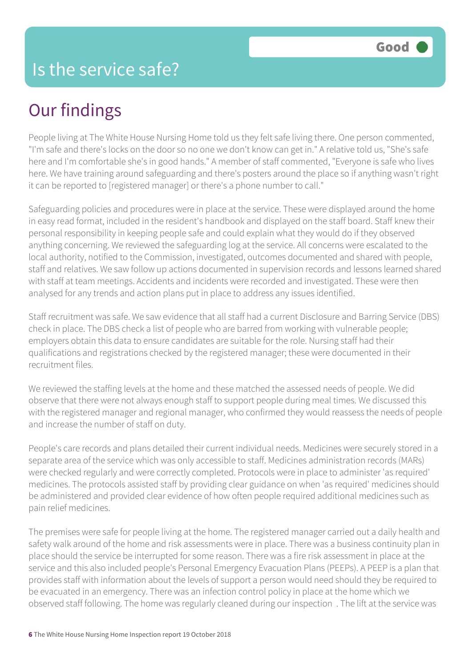People living at The White House Nursing Home told us they felt safe living there. One person commented, "I'm safe and there's locks on the door so no one we don't know can get in." A relative told us, "She's safe here and I'm comfortable she's in good hands." A member of staff commented, "Everyone is safe who lives here. We have training around safeguarding and there's posters around the place so if anything wasn't right it can be reported to [registered manager] or there's a phone number to call."

Safeguarding policies and procedures were in place at the service. These were displayed around the home in easy read format, included in the resident's handbook and displayed on the staff board. Staff knew their personal responsibility in keeping people safe and could explain what they would do if they observed anything concerning. We reviewed the safeguarding log at the service. All concerns were escalated to the local authority, notified to the Commission, investigated, outcomes documented and shared with people, staff and relatives. We saw follow up actions documented in supervision records and lessons learned shared with staff at team meetings. Accidents and incidents were recorded and investigated. These were then analysed for any trends and action plans put in place to address any issues identified.

Staff recruitment was safe. We saw evidence that all staff had a current Disclosure and Barring Service (DBS) check in place. The DBS check a list of people who are barred from working with vulnerable people; employers obtain this data to ensure candidates are suitable for the role. Nursing staff had their qualifications and registrations checked by the registered manager; these were documented in their recruitment files.

We reviewed the staffing levels at the home and these matched the assessed needs of people. We did observe that there were not always enough staff to support people during meal times. We discussed this with the registered manager and regional manager, who confirmed they would reassess the needs of people and increase the number of staff on duty.

People's care records and plans detailed their current individual needs. Medicines were securely stored in a separate area of the service which was only accessible to staff. Medicines administration records (MARs) were checked regularly and were correctly completed. Protocols were in place to administer 'as required' medicines. The protocols assisted staff by providing clear guidance on when 'as required' medicines should be administered and provided clear evidence of how often people required additional medicines such as pain relief medicines.

The premises were safe for people living at the home. The registered manager carried out a daily health and safety walk around of the home and risk assessments were in place. There was a business continuity plan in place should the service be interrupted for some reason. There was a fire risk assessment in place at the service and this also included people's Personal Emergency Evacuation Plans (PEEPs). A PEEP is a plan that provides staff with information about the levels of support a person would need should they be required to be evacuated in an emergency. There was an infection control policy in place at the home which we observed staff following. The home was regularly cleaned during our inspection . The lift at the service was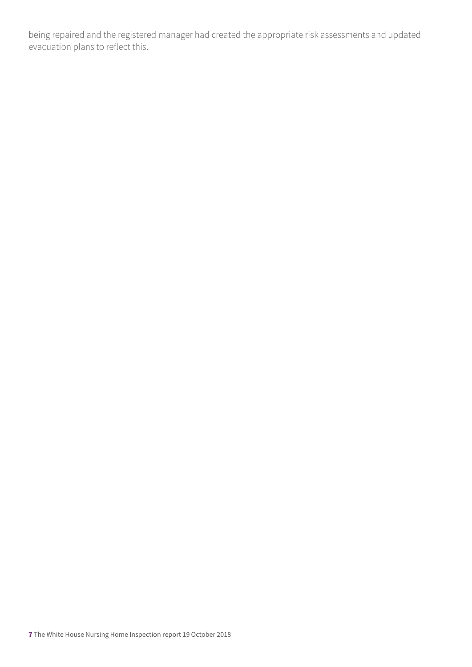being repaired and the registered manager had created the appropriate risk assessments and updated evacuation plans to reflect this.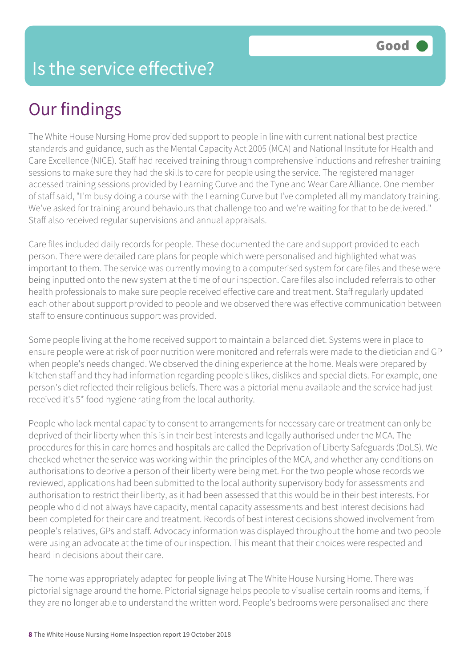The White House Nursing Home provided support to people in line with current national best practice standards and guidance, such as the Mental Capacity Act 2005 (MCA) and National Institute for Health and Care Excellence (NICE). Staff had received training through comprehensive inductions and refresher training sessions to make sure they had the skills to care for people using the service. The registered manager accessed training sessions provided by Learning Curve and the Tyne and Wear Care Alliance. One member of staff said, "I'm busy doing a course with the Learning Curve but I've completed all my mandatory training. We've asked for training around behaviours that challenge too and we're waiting for that to be delivered." Staff also received regular supervisions and annual appraisals.

Care files included daily records for people. These documented the care and support provided to each person. There were detailed care plans for people which were personalised and highlighted what was important to them. The service was currently moving to a computerised system for care files and these were being inputted onto the new system at the time of our inspection. Care files also included referrals to other health professionals to make sure people received effective care and treatment. Staff regularly updated each other about support provided to people and we observed there was effective communication between staff to ensure continuous support was provided.

Some people living at the home received support to maintain a balanced diet. Systems were in place to ensure people were at risk of poor nutrition were monitored and referrals were made to the dietician and GP when people's needs changed. We observed the dining experience at the home. Meals were prepared by kitchen staff and they had information regarding people's likes, dislikes and special diets. For example, one person's diet reflected their religious beliefs. There was a pictorial menu available and the service had just received it's 5\* food hygiene rating from the local authority.

People who lack mental capacity to consent to arrangements for necessary care or treatment can only be deprived of their liberty when this is in their best interests and legally authorised under the MCA. The procedures for this in care homes and hospitals are called the Deprivation of Liberty Safeguards (DoLS). We checked whether the service was working within the principles of the MCA, and whether any conditions on authorisations to deprive a person of their liberty were being met. For the two people whose records we reviewed, applications had been submitted to the local authority supervisory body for assessments and authorisation to restrict their liberty, as it had been assessed that this would be in their best interests. For people who did not always have capacity, mental capacity assessments and best interest decisions had been completed for their care and treatment. Records of best interest decisions showed involvement from people's relatives, GPs and staff. Advocacy information was displayed throughout the home and two people were using an advocate at the time of our inspection. This meant that their choices were respected and heard in decisions about their care.

The home was appropriately adapted for people living at The White House Nursing Home. There was pictorial signage around the home. Pictorial signage helps people to visualise certain rooms and items, if they are no longer able to understand the written word. People's bedrooms were personalised and there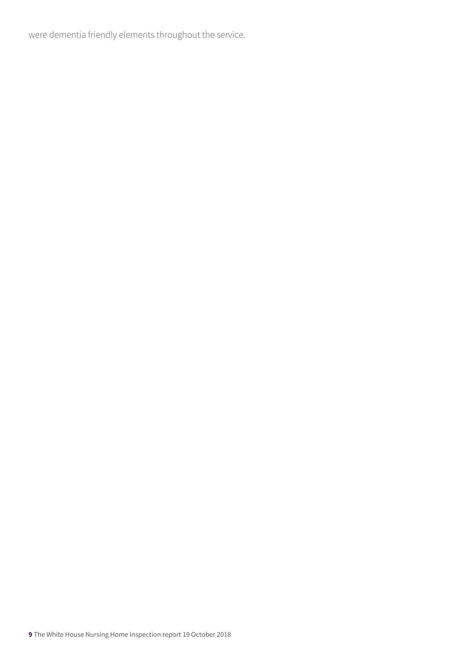were dementia friendly elements throughout the service.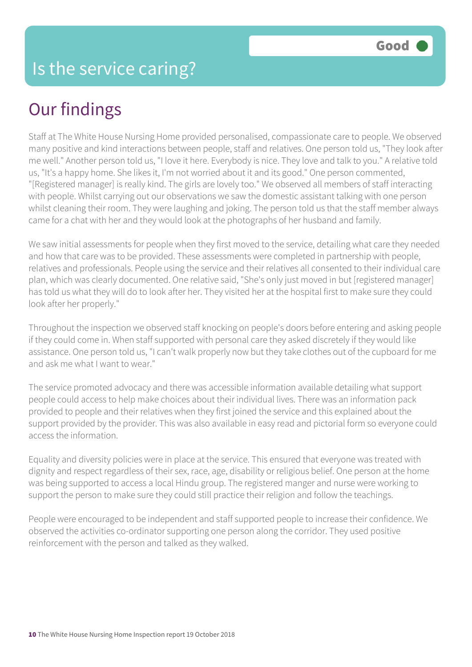Staff at The White House Nursing Home provided personalised, compassionate care to people. We observed many positive and kind interactions between people, staff and relatives. One person told us, "They look after me well." Another person told us, "I love it here. Everybody is nice. They love and talk to you." A relative told us, "It's a happy home. She likes it, I'm not worried about it and its good." One person commented, "[Registered manager] is really kind. The girls are lovely too." We observed all members of staff interacting with people. Whilst carrying out our observations we saw the domestic assistant talking with one person whilst cleaning their room. They were laughing and joking. The person told us that the staff member always came for a chat with her and they would look at the photographs of her husband and family.

We saw initial assessments for people when they first moved to the service, detailing what care they needed and how that care was to be provided. These assessments were completed in partnership with people, relatives and professionals. People using the service and their relatives all consented to their individual care plan, which was clearly documented. One relative said, "She's only just moved in but [registered manager] has told us what they will do to look after her. They visited her at the hospital first to make sure they could look after her properly."

Throughout the inspection we observed staff knocking on people's doors before entering and asking people if they could come in. When staff supported with personal care they asked discretely if they would like assistance. One person told us, "I can't walk properly now but they take clothes out of the cupboard for me and ask me what I want to wear."

The service promoted advocacy and there was accessible information available detailing what support people could access to help make choices about their individual lives. There was an information pack provided to people and their relatives when they first joined the service and this explained about the support provided by the provider. This was also available in easy read and pictorial form so everyone could access the information.

Equality and diversity policies were in place at the service. This ensured that everyone was treated with dignity and respect regardless of their sex, race, age, disability or religious belief. One person at the home was being supported to access a local Hindu group. The registered manger and nurse were working to support the person to make sure they could still practice their religion and follow the teachings.

People were encouraged to be independent and staff supported people to increase their confidence. We observed the activities co-ordinator supporting one person along the corridor. They used positive reinforcement with the person and talked as they walked.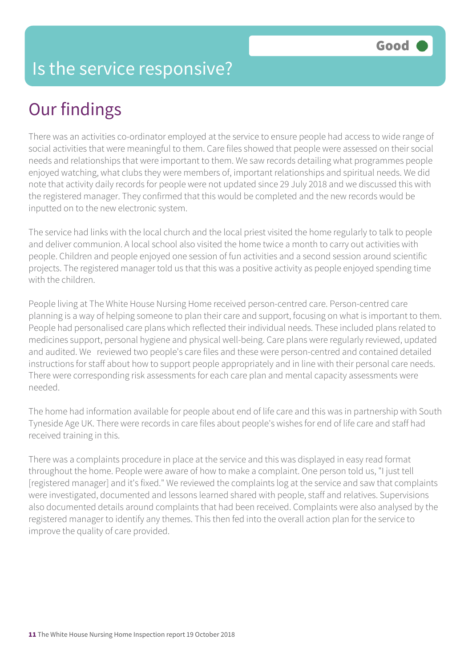#### Is the service responsive?

#### Our findings

There was an activities co-ordinator employed at the service to ensure people had access to wide range of social activities that were meaningful to them. Care files showed that people were assessed on their social needs and relationships that were important to them. We saw records detailing what programmes people enjoyed watching, what clubs they were members of, important relationships and spiritual needs. We did note that activity daily records for people were not updated since 29 July 2018 and we discussed this with the registered manager. They confirmed that this would be completed and the new records would be inputted on to the new electronic system.

The service had links with the local church and the local priest visited the home regularly to talk to people and deliver communion. A local school also visited the home twice a month to carry out activities with people. Children and people enjoyed one session of fun activities and a second session around scientific projects. The registered manager told us that this was a positive activity as people enjoyed spending time with the children

People living at The White House Nursing Home received person-centred care. Person-centred care planning is a way of helping someone to plan their care and support, focusing on what is important to them. People had personalised care plans which reflected their individual needs. These included plans related to medicines support, personal hygiene and physical well-being. Care plans were regularly reviewed, updated and audited. We reviewed two people's care files and these were person-centred and contained detailed instructions for staff about how to support people appropriately and in line with their personal care needs. There were corresponding risk assessments for each care plan and mental capacity assessments were needed.

The home had information available for people about end of life care and this was in partnership with South Tyneside Age UK. There were records in care files about people's wishes for end of life care and staff had received training in this.

There was a complaints procedure in place at the service and this was displayed in easy read format throughout the home. People were aware of how to make a complaint. One person told us, "I just tell [registered manager] and it's fixed." We reviewed the complaints log at the service and saw that complaints were investigated, documented and lessons learned shared with people, staff and relatives. Supervisions also documented details around complaints that had been received. Complaints were also analysed by the registered manager to identify any themes. This then fed into the overall action plan for the service to improve the quality of care provided.